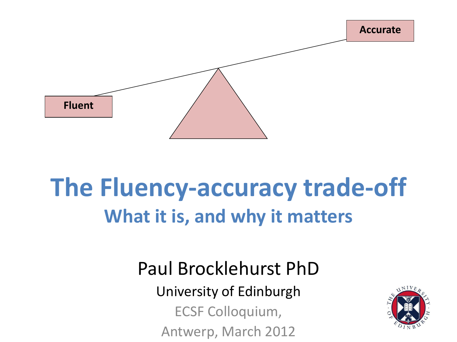

### **The Fluency-accuracy trade-off What it is, and why it matters**

Paul Brocklehurst PhD

University of Edinburgh

ECSF Colloquium,

Antwerp, March 2012

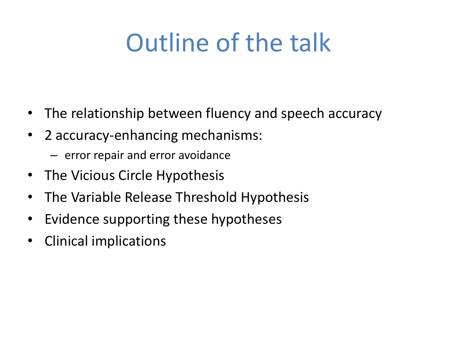# Outline of the talk

- The relationship between fluency and speech accuracy
- 2 accuracy-enhancing mechanisms:
	- error repair and error avoidance
- The Vicious Circle Hypothesis
- The Variable Release Threshold Hypothesis
- Evidence supporting these hypotheses
- Clinical implications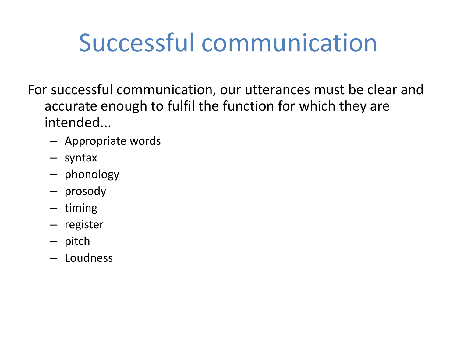## Successful communication

For successful communication, our utterances must be clear and accurate enough to fulfil the function for which they are intended...

- Appropriate words
- syntax
- phonology
- prosody
- timing
- register
- pitch
- Loudness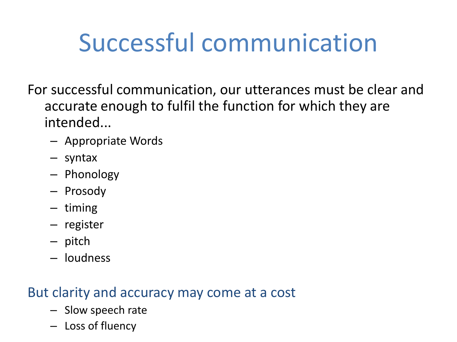# Successful communication

For successful communication, our utterances must be clear and accurate enough to fulfil the function for which they are intended...

- Appropriate Words
- syntax
- Phonology
- Prosody
- timing
- register
- pitch
- loudness

#### But clarity and accuracy may come at a cost

- Slow speech rate
- Loss of fluency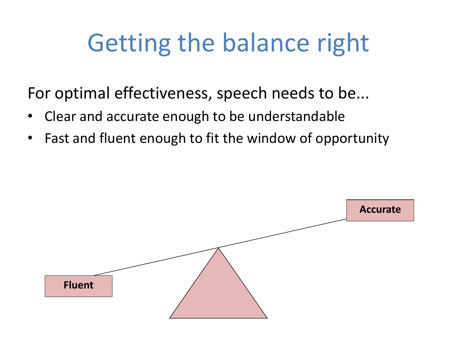## Getting the balance right

For optimal effectiveness, speech needs to be...

- Clear and accurate enough to be understandable
- Fast and fluent enough to fit the window of opportunity

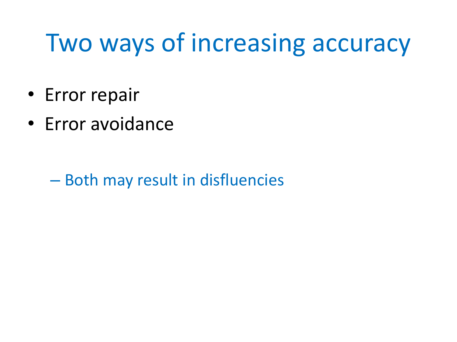## Two ways of increasing accuracy

- Error repair
- Error avoidance

– Both may result in disfluencies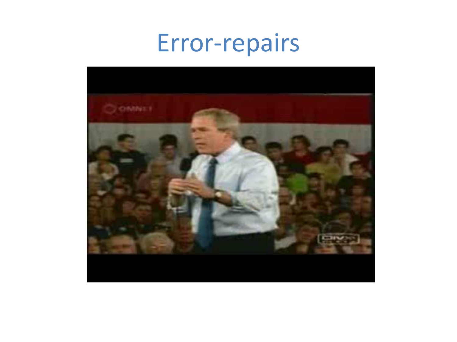#### Error-repairs

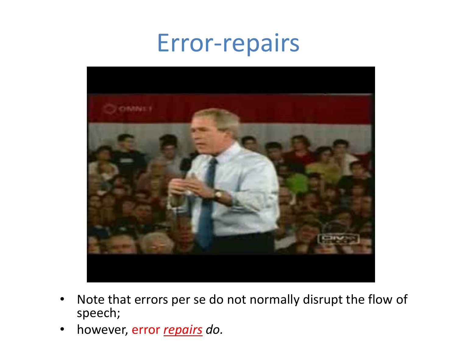#### Error-repairs



- Note that errors per se do not normally disrupt the flow of speech;
- however, error *repairs do.*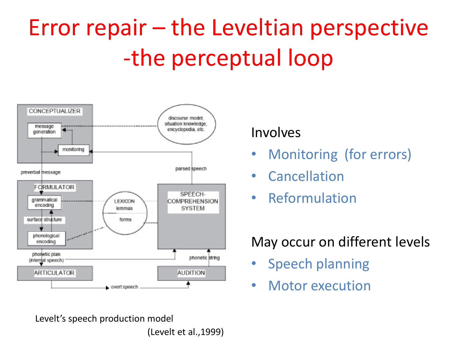# Error repair – the Leveltian perspective -the perceptual loop



Levelt's speech production model (Levelt et al.,1999)

#### Involves

- Monitoring (for errors)
- Cancellation
- Reformulation

#### May occur on different levels

- Speech planning
- Motor execution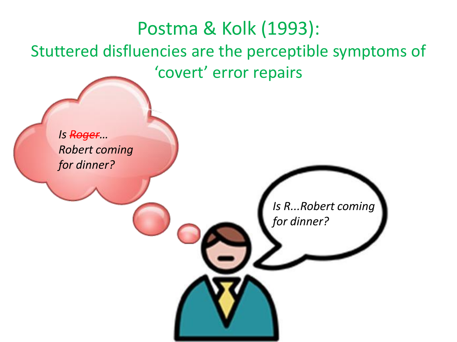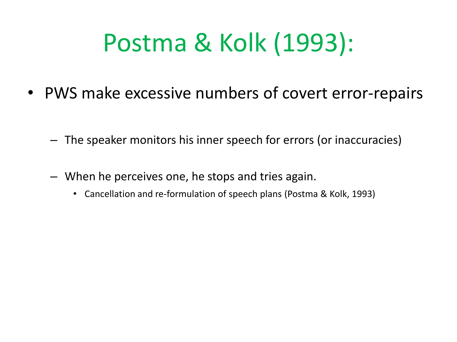# Postma & Kolk (1993):

- PWS make excessive numbers of covert error-repairs
	- The speaker monitors his inner speech for errors (or inaccuracies)
	- When he perceives one, he stops and tries again.
		- Cancellation and re-formulation of speech plans (Postma & Kolk, 1993)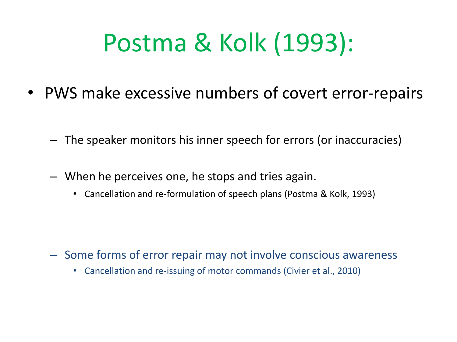# Postma & Kolk (1993):

- PWS make excessive numbers of covert error-repairs
	- The speaker monitors his inner speech for errors (or inaccuracies)
	- When he perceives one, he stops and tries again.
		- Cancellation and re-formulation of speech plans (Postma & Kolk, 1993)

- Some forms of error repair may not involve conscious awareness
	- Cancellation and re-issuing of motor commands (Civier et al., 2010)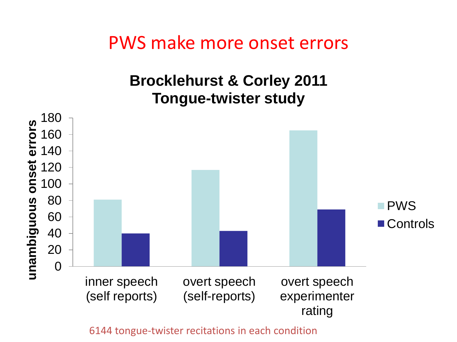PWS make more onset errors

#### **Brocklehurst & Corley 2011 Tongue-twister study**



6144 tongue-twister recitations in each condition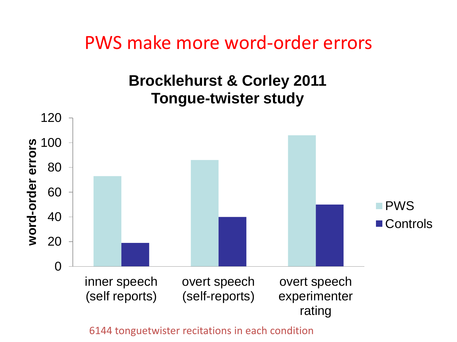PWS make more word-order errors

#### **Brocklehurst & Corley 2011 Tongue-twister study**



6144 tonguetwister recitations in each condition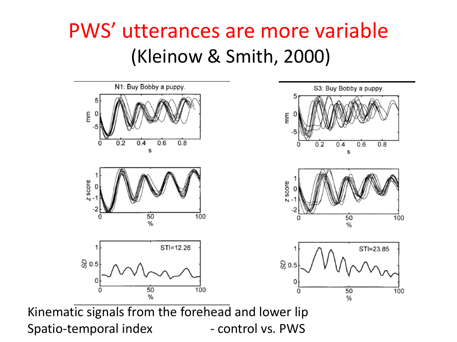#### PWS' utterances are more variable (Kleinow & Smith, 2000)



Spatio-temporal index - control vs. PWS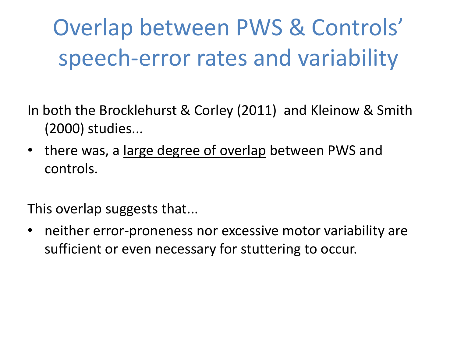Overlap between PWS & Controls' speech-error rates and variability

In both the Brocklehurst & Corley (2011) and Kleinow & Smith (2000) studies...

• there was, a large degree of overlap between PWS and controls.

This overlap suggests that...

• neither error-proneness nor excessive motor variability are sufficient or even necessary for stuttering to occur.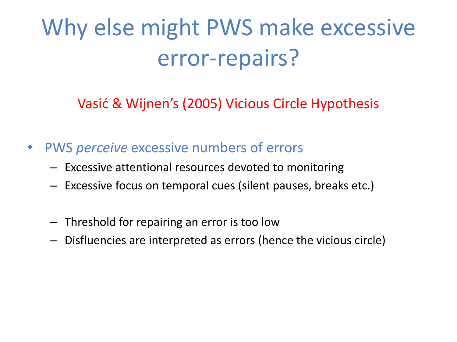## Why else might PWS make excessive error-repairs?

Vasić & Wijnen's (2005) Vicious Circle Hypothesis

- PWS *perceive* excessive numbers of errors
	- Excessive attentional resources devoted to monitoring
	- Excessive focus on temporal cues (silent pauses, breaks etc.)
	- Threshold for repairing an error is too low
	- Disfluencies are interpreted as errors (hence the vicious circle)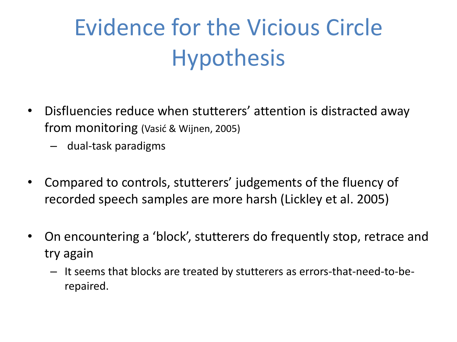## Evidence for the Vicious Circle Hypothesis

- Disfluencies reduce when stutterers' attention is distracted away from monitoring (Vasić & Wijnen, 2005)
	- dual-task paradigms
- Compared to controls, stutterers' judgements of the fluency of recorded speech samples are more harsh (Lickley et al. 2005)
- On encountering a 'block', stutterers do frequently stop, retrace and try again
	- It seems that blocks are treated by stutterers as errors-that-need-to-berepaired.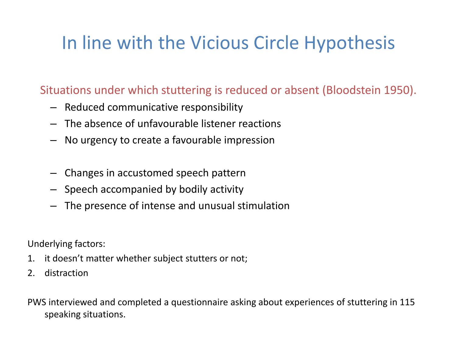#### In line with the Vicious Circle Hypothesis

Situations under which stuttering is reduced or absent (Bloodstein 1950).

- Reduced communicative responsibility
- The absence of unfavourable listener reactions
- No urgency to create a favourable impression
- Changes in accustomed speech pattern
- Speech accompanied by bodily activity
- The presence of intense and unusual stimulation

Underlying factors:

- 1. it doesn't matter whether subject stutters or not;
- 2. distraction

PWS interviewed and completed a questionnaire asking about experiences of stuttering in 115 speaking situations.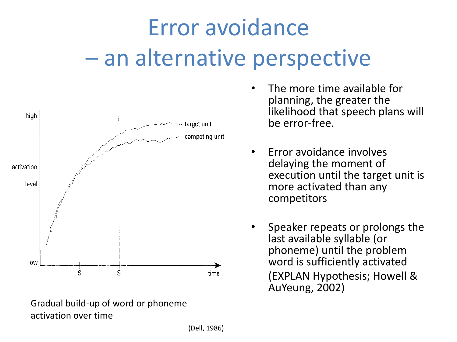# Error avoidance – an alternative perspective



Gradual build-up of word or phoneme activation over time

- The more time available for planning, the greater the likelihood that speech plans will be error-free.
- Error avoidance involves delaying the moment of execution until the target unit is more activated than any competitors
- Speaker repeats or prolongs the last available syllable (or phoneme) until the problem word is sufficiently activated (EXPLAN Hypothesis; Howell & AuYeung, 2002)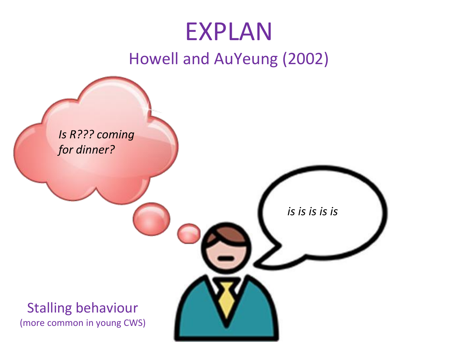#### EXPLAN Howell and AuYeung (2002)

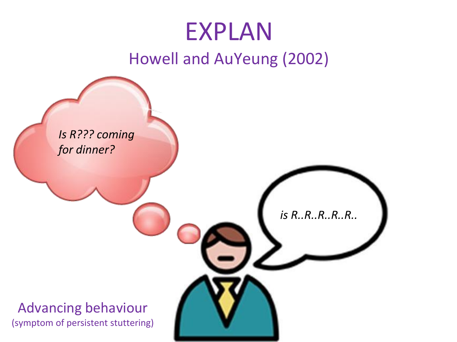#### EXPLAN Howell and AuYeung (2002)

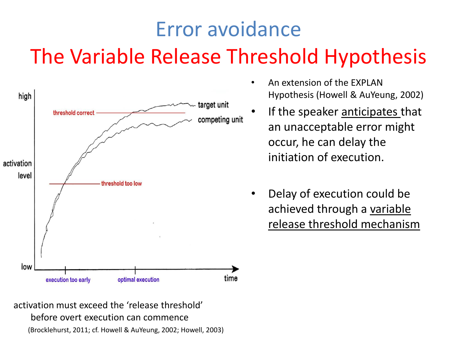#### Error avoidance The Variable Release Threshold Hypothesis



- An extension of the EXPLAN Hypothesis (Howell & AuYeung, 2002)
- If the speaker anticipates that an unacceptable error might occur, he can delay the initiation of execution.
- Delay of execution could be achieved through a variable release threshold mechanism

activation must exceed the 'release threshold' before overt execution can commence (Brocklehurst, 2011; cf. Howell & AuYeung, 2002; Howell, 2003)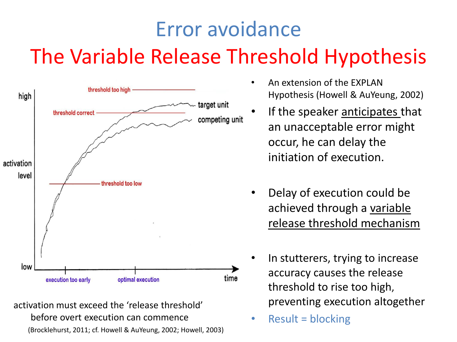#### Error avoidance The Variable Release Threshold Hypothesis



activation must exceed the 'release threshold' before overt execution can commence (Brocklehurst, 2011; cf. Howell & AuYeung, 2002; Howell, 2003)

- An extension of the EXPLAN Hypothesis (Howell & AuYeung, 2002)
- If the speaker anticipates that an unacceptable error might occur, he can delay the initiation of execution.
- Delay of execution could be achieved through a variable release threshold mechanism
- In stutterers, trying to increase accuracy causes the release threshold to rise too high, preventing execution altogether
- Result = blocking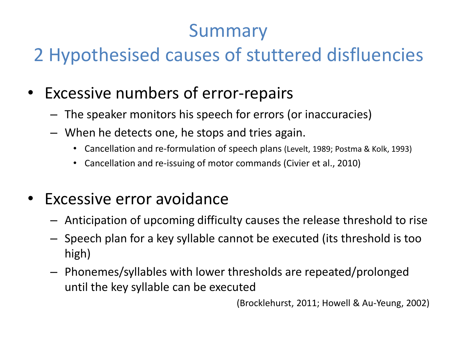#### Summary

#### 2 Hypothesised causes of stuttered disfluencies

- Excessive numbers of error-repairs
	- The speaker monitors his speech for errors (or inaccuracies)
	- When he detects one, he stops and tries again.
		- Cancellation and re-formulation of speech plans (Levelt, 1989; Postma & Kolk, 1993)
		- Cancellation and re-issuing of motor commands (Civier et al., 2010)
- Excessive error avoidance
	- Anticipation of upcoming difficulty causes the release threshold to rise
	- Speech plan for a key syllable cannot be executed (its threshold is too high)
	- Phonemes/syllables with lower thresholds are repeated/prolonged until the key syllable can be executed

(Brocklehurst, 2011; Howell & Au-Yeung, 2002)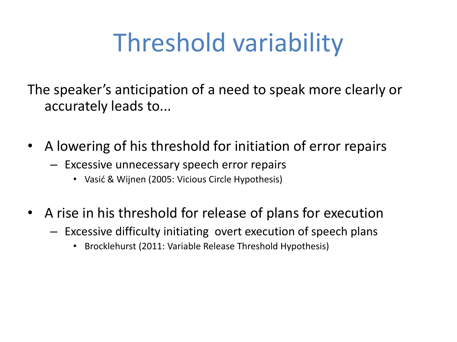# Threshold variability

The speaker's anticipation of a need to speak more clearly or accurately leads to...

- A lowering of his threshold for initiation of error repairs
	- Excessive unnecessary speech error repairs
		- Vasić & Wijnen (2005: Vicious Circle Hypothesis)
- A rise in his threshold for release of plans for execution
	- Excessive difficulty initiating overt execution of speech plans
		- Brocklehurst (2011: Variable Release Threshold Hypothesis)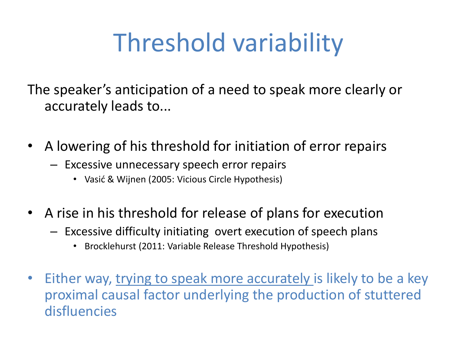# Threshold variability

The speaker's anticipation of a need to speak more clearly or accurately leads to...

- A lowering of his threshold for initiation of error repairs
	- Excessive unnecessary speech error repairs
		- Vasić & Wijnen (2005: Vicious Circle Hypothesis)
- A rise in his threshold for release of plans for execution
	- Excessive difficulty initiating overt execution of speech plans
		- Brocklehurst (2011: Variable Release Threshold Hypothesis)
- Either way, trying to speak more accurately is likely to be a key proximal causal factor underlying the production of stuttered disfluencies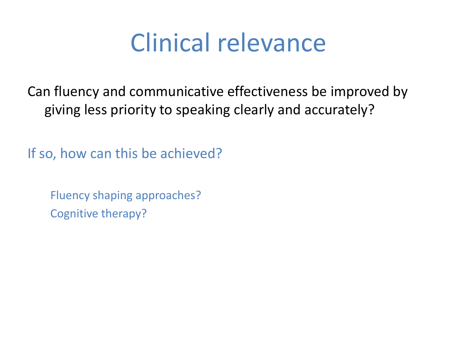Can fluency and communicative effectiveness be improved by giving less priority to speaking clearly and accurately?

If so, how can this be achieved?

Fluency shaping approaches? Cognitive therapy?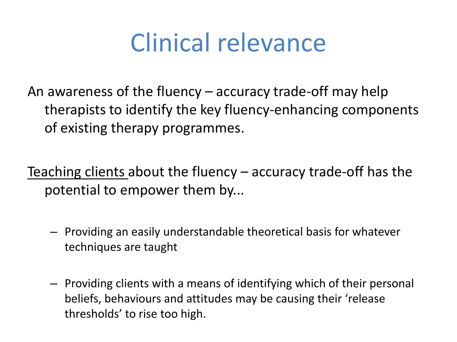An awareness of the fluency – accuracy trade-off may help therapists to identify the key fluency-enhancing components of existing therapy programmes.

Teaching clients about the fluency – accuracy trade-off has the potential to empower them by...

- Providing an easily understandable theoretical basis for whatever techniques are taught
- Providing clients with a means of identifying which of their personal beliefs, behaviours and attitudes may be causing their 'release thresholds' to rise too high.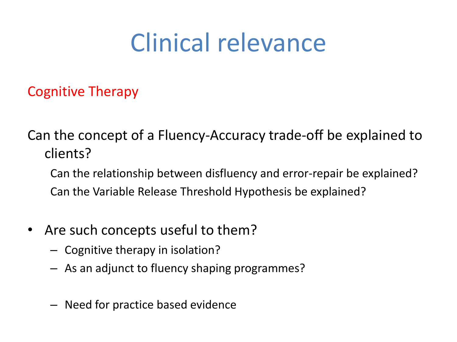Cognitive Therapy

Can the concept of a Fluency-Accuracy trade-off be explained to clients?

Can the relationship between disfluency and error-repair be explained? Can the Variable Release Threshold Hypothesis be explained?

- Are such concepts useful to them?
	- Cognitive therapy in isolation?
	- As an adjunct to fluency shaping programmes?
	- Need for practice based evidence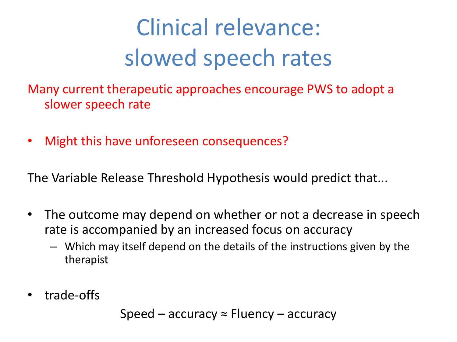# Clinical relevance: slowed speech rates

Many current therapeutic approaches encourage PWS to adopt a slower speech rate

• Might this have unforeseen consequences?

The Variable Release Threshold Hypothesis would predict that...

- The outcome may depend on whether or not a decrease in speech rate is accompanied by an increased focus on accuracy
	- Which may itself depend on the details of the instructions given by the therapist
- trade-offs

Speed – accuracy  $\approx$  Fluency – accuracy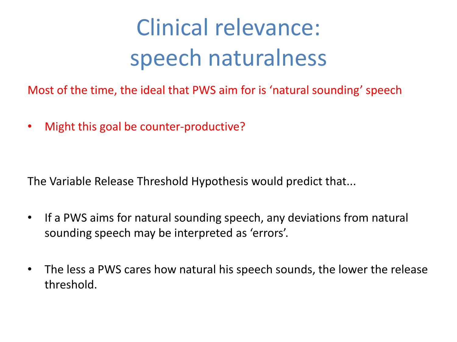## Clinical relevance: speech naturalness

Most of the time, the ideal that PWS aim for is 'natural sounding' speech

• Might this goal be counter-productive?

The Variable Release Threshold Hypothesis would predict that...

- If a PWS aims for natural sounding speech, any deviations from natural sounding speech may be interpreted as 'errors'.
- The less a PWS cares how natural his speech sounds, the lower the release threshold.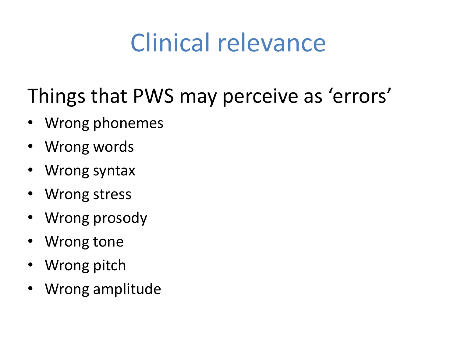#### Things that PWS may perceive as 'errors'

- Wrong phonemes
- Wrong words
- Wrong syntax
- Wrong stress
- Wrong prosody
- Wrong tone
- Wrong pitch
- Wrong amplitude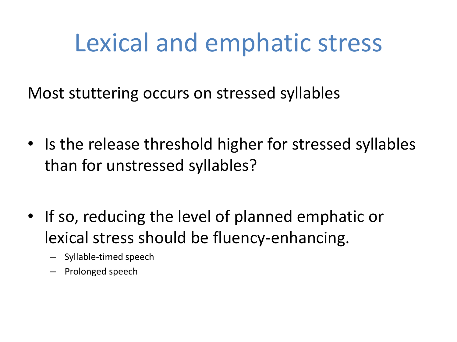### Lexical and emphatic stress

Most stuttering occurs on stressed syllables

- Is the release threshold higher for stressed syllables than for unstressed syllables?
- If so, reducing the level of planned emphatic or lexical stress should be fluency-enhancing.
	- Syllable-timed speech
	- Prolonged speech